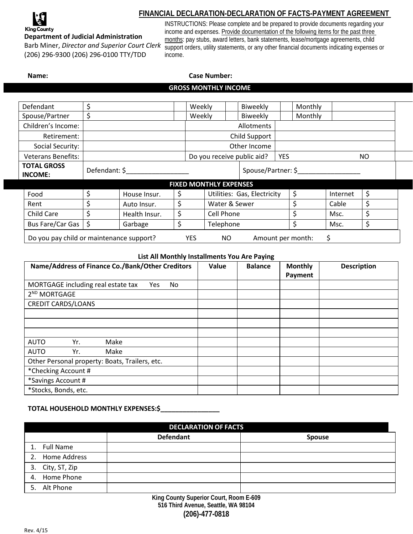

## **FINANCIAL DECLARATION-DECLARATION OF FACTS-PAYMENT AGREEMENT**

## **Department of Judicial Administration**

Barb Miner, *Director and Superior Court Clerk* (206) 296-9300 (206) 296-0100 TTY/TDD

INSTRUCTIONS: Please complete and be prepared to provide documents regarding your income and expenses. Provide documentation of the following items for the past three months: pay stubs, award letters, bank statements, lease/mortgage agreements, child support orders, utility statements, or any other financial documents indicating expenses or income.

# **Name: Case Number: GROSS MONTHLY INCOME**

| Defendant                                                                                | \$            |               | Weekly     |               |                             | Biweekly |                                          | Monthly |          |      |    |  |
|------------------------------------------------------------------------------------------|---------------|---------------|------------|---------------|-----------------------------|----------|------------------------------------------|---------|----------|------|----|--|
| Spouse/Partner                                                                           | \$            |               | Weekly     |               |                             | Biweekly | Monthly                                  |         |          |      |    |  |
| Children's Income:                                                                       |               |               | Allotments |               |                             |          |                                          |         |          |      |    |  |
| Retirement:                                                                              |               |               |            | Child Support |                             |          |                                          |         |          |      |    |  |
| Social Security:                                                                         |               |               |            | Other Income  |                             |          |                                          |         |          |      |    |  |
| <b>Veterans Benefits:</b>                                                                |               |               |            |               |                             |          | Do you receive public aid?<br><b>YES</b> |         |          | NO.  |    |  |
| <b>TOTAL GROSS</b><br><b>INCOME:</b>                                                     | Defendant: \$ |               |            |               | Spouse/Partner: \$          |          |                                          |         |          |      |    |  |
| <b>FIXED MONTHLY EXPENSES</b>                                                            |               |               |            |               |                             |          |                                          |         |          |      |    |  |
| Food                                                                                     | \$            | House Insur.  | \$         |               | Utilities: Gas, Electricity |          |                                          | \$      | Internet | \$   |    |  |
| Rent                                                                                     | \$            | Auto Insur.   | \$         |               | Water & Sewer               |          |                                          |         | Cable    | \$   |    |  |
| Child Care                                                                               | Ś             | Health Insur. | \$         | Cell Phone    |                             |          |                                          |         |          | Msc. | \$ |  |
| Bus Fare/Car Gas                                                                         | \$            | Garbage       | \$         | Telephone     |                             |          |                                          | \$      | Msc.     | \$   |    |  |
| \$<br>Do you pay child or maintenance support?<br><b>YES</b><br>NO.<br>Amount per month: |               |               |            |               |                             |          |                                          |         |          |      |    |  |

#### **List All Monthly Installments You Are Paying**

| Name/Address of Finance Co./Bank/Other Creditors | Value | <b>Balance</b> | <b>Monthly</b><br>Payment | <b>Description</b> |  |  |  |
|--------------------------------------------------|-------|----------------|---------------------------|--------------------|--|--|--|
| MORTGAGE including real estate tax<br>No<br>Yes  |       |                |                           |                    |  |  |  |
| 2 <sup>ND</sup> MORTGAGE                         |       |                |                           |                    |  |  |  |
| <b>CREDIT CARDS/LOANS</b>                        |       |                |                           |                    |  |  |  |
|                                                  |       |                |                           |                    |  |  |  |
|                                                  |       |                |                           |                    |  |  |  |
|                                                  |       |                |                           |                    |  |  |  |
| Make<br><b>AUTO</b><br>Yr.                       |       |                |                           |                    |  |  |  |
| <b>AUTO</b><br>Make<br>Yr.                       |       |                |                           |                    |  |  |  |
| Other Personal property: Boats, Trailers, etc.   |       |                |                           |                    |  |  |  |
| *Checking Account #                              |       |                |                           |                    |  |  |  |
| *Savings Account #                               |       |                |                           |                    |  |  |  |
| *Stocks, Bonds, etc.                             |       |                |                           |                    |  |  |  |

## **TOTAL HOUSEHOLD MONTHLY EXPENSES:\$**

| <b>DECLARATION OF FACTS</b> |                  |               |  |  |  |  |
|-----------------------------|------------------|---------------|--|--|--|--|
|                             | <b>Defendant</b> | <b>Spouse</b> |  |  |  |  |
| <b>Full Name</b>            |                  |               |  |  |  |  |
| 2. Home Address             |                  |               |  |  |  |  |
| 3. City, ST, Zip            |                  |               |  |  |  |  |
| 4. Home Phone               |                  |               |  |  |  |  |
| Alt Phone                   |                  |               |  |  |  |  |